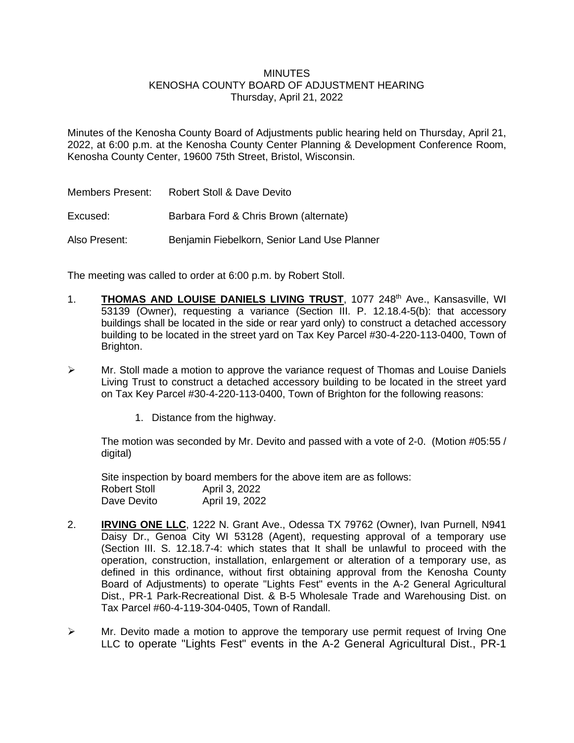# **MINUTES**

### KENOSHA COUNTY BOARD OF ADJUSTMENT HEARING Thursday, April 21, 2022

Minutes of the Kenosha County Board of Adjustments public hearing held on Thursday, April 21, 2022, at 6:00 p.m. at the Kenosha County Center Planning & Development Conference Room, Kenosha County Center, 19600 75th Street, Bristol, Wisconsin.

| Members Present: | Robert Stoll & Dave Devito                   |
|------------------|----------------------------------------------|
| Excused:         | Barbara Ford & Chris Brown (alternate)       |
| Also Present:    | Benjamin Fiebelkorn, Senior Land Use Planner |

The meeting was called to order at 6:00 p.m. by Robert Stoll.

- 1. **THOMAS AND LOUISE DANIELS LIVING TRUST**, 1077 248th Ave., Kansasville, WI 53139 (Owner), requesting a variance (Section III. P. 12.18.4-5(b): that accessory buildings shall be located in the side or rear yard only) to construct a detached accessory building to be located in the street yard on Tax Key Parcel #30-4-220-113-0400, Town of Brighton.
- $\triangleright$  Mr. Stoll made a motion to approve the variance request of Thomas and Louise Daniels Living Trust to construct a detached accessory building to be located in the street yard on Tax Key Parcel #30-4-220-113-0400, Town of Brighton for the following reasons:
	- 1. Distance from the highway.

The motion was seconded by Mr. Devito and passed with a vote of 2-0. (Motion #05:55 / digital)

Site inspection by board members for the above item are as follows: Robert Stoll April 3, 2022 Dave Devito April 19, 2022

- 2. **IRVING ONE LLC**, 1222 N. Grant Ave., Odessa TX 79762 (Owner), Ivan Purnell, N941 Daisy Dr., Genoa City WI 53128 (Agent), requesting approval of a temporary use (Section III. S. 12.18.7-4: which states that It shall be unlawful to proceed with the operation, construction, installation, enlargement or alteration of a temporary use, as defined in this ordinance, without first obtaining approval from the Kenosha County Board of Adjustments) to operate "Lights Fest" events in the A-2 General Agricultural Dist., PR-1 Park-Recreational Dist. & B-5 Wholesale Trade and Warehousing Dist. on Tax Parcel #60-4-119-304-0405, Town of Randall.
- $\triangleright$  Mr. Devito made a motion to approve the temporary use permit request of Irving One LLC to operate "Lights Fest" events in the A-2 General Agricultural Dist., PR-1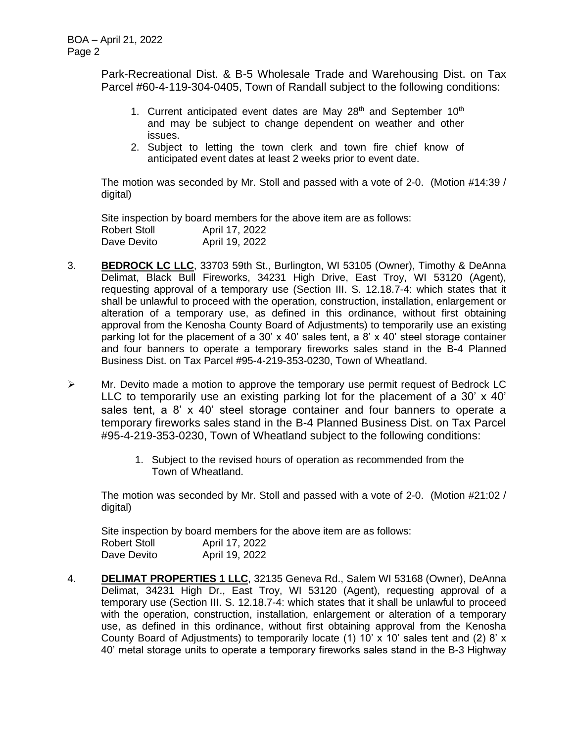Park-Recreational Dist. & B-5 Wholesale Trade and Warehousing Dist. on Tax Parcel #60-4-119-304-0405, Town of Randall subject to the following conditions:

- 1. Current anticipated event dates are May  $28<sup>th</sup>$  and September 10<sup>th</sup> and may be subject to change dependent on weather and other issues.
- 2. Subject to letting the town clerk and town fire chief know of anticipated event dates at least 2 weeks prior to event date.

The motion was seconded by Mr. Stoll and passed with a vote of 2-0. (Motion #14:39 / digital)

Site inspection by board members for the above item are as follows: Robert Stoll **April 17, 2022** Dave Devito April 19, 2022

- 3. **BEDROCK LC LLC**, 33703 59th St., Burlington, WI 53105 (Owner), Timothy & DeAnna Delimat, Black Bull Fireworks, 34231 High Drive, East Troy, WI 53120 (Agent), requesting approval of a temporary use (Section III. S. 12.18.7-4: which states that it shall be unlawful to proceed with the operation, construction, installation, enlargement or alteration of a temporary use, as defined in this ordinance, without first obtaining approval from the Kenosha County Board of Adjustments) to temporarily use an existing parking lot for the placement of a 30' x 40' sales tent, a 8' x 40' steel storage container and four banners to operate a temporary fireworks sales stand in the B-4 Planned Business Dist. on Tax Parcel #95-4-219-353-0230, Town of Wheatland.
- ➢ Mr. Devito made a motion to approve the temporary use permit request of Bedrock LC LLC to temporarily use an existing parking lot for the placement of a 30' x 40' sales tent, a 8' x 40' steel storage container and four banners to operate a temporary fireworks sales stand in the B-4 Planned Business Dist. on Tax Parcel #95-4-219-353-0230, Town of Wheatland subject to the following conditions:
	- 1. Subject to the revised hours of operation as recommended from the Town of Wheatland.

The motion was seconded by Mr. Stoll and passed with a vote of 2-0. (Motion #21:02 / digital)

Site inspection by board members for the above item are as follows: Robert Stoll April 17, 2022 Dave Devito April 19, 2022

4. **DELIMAT PROPERTIES 1 LLC**, 32135 Geneva Rd., Salem WI 53168 (Owner), DeAnna Delimat, 34231 High Dr., East Troy, WI 53120 (Agent), requesting approval of a temporary use (Section III. S. 12.18.7-4: which states that it shall be unlawful to proceed with the operation, construction, installation, enlargement or alteration of a temporary use, as defined in this ordinance, without first obtaining approval from the Kenosha County Board of Adjustments) to temporarily locate (1) 10' x 10' sales tent and (2) 8' x 40' metal storage units to operate a temporary fireworks sales stand in the B-3 Highway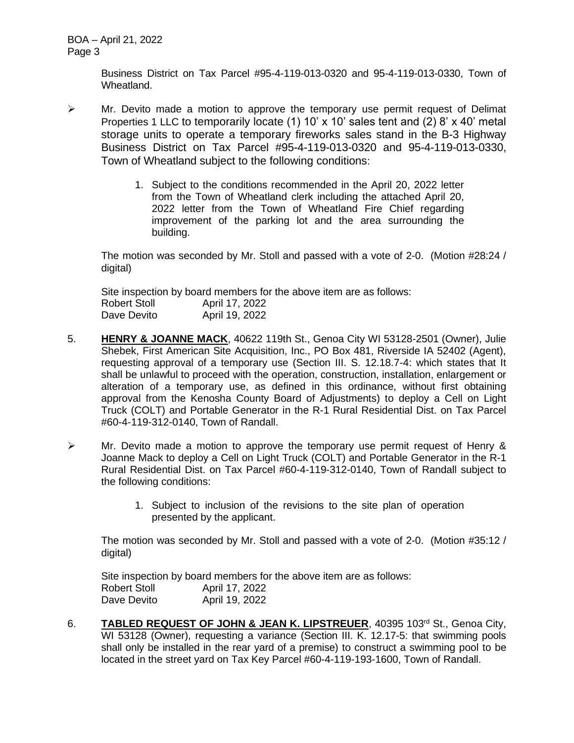Business District on Tax Parcel #95-4-119-013-0320 and 95-4-119-013-0330, Town of Wheatland.

- $\triangleright$  Mr. Devito made a motion to approve the temporary use permit request of Delimat Properties 1 LLC to temporarily locate (1) 10' x 10' sales tent and (2) 8' x 40' metal storage units to operate a temporary fireworks sales stand in the B-3 Highway Business District on Tax Parcel #95-4-119-013-0320 and 95-4-119-013-0330, Town of Wheatland subject to the following conditions:
	- 1. Subject to the conditions recommended in the April 20, 2022 letter from the Town of Wheatland clerk including the attached April 20, 2022 letter from the Town of Wheatland Fire Chief regarding improvement of the parking lot and the area surrounding the building.

The motion was seconded by Mr. Stoll and passed with a vote of 2-0. (Motion #28:24 / digital)

Site inspection by board members for the above item are as follows: Robert Stoll **April 17, 2022** Dave Devito April 19, 2022

- 5. **HENRY & JOANNE MACK**, 40622 119th St., Genoa City WI 53128-2501 (Owner), Julie Shebek, First American Site Acquisition, Inc., PO Box 481, Riverside IA 52402 (Agent), requesting approval of a temporary use (Section III. S. 12.18.7-4: which states that It shall be unlawful to proceed with the operation, construction, installation, enlargement or alteration of a temporary use, as defined in this ordinance, without first obtaining approval from the Kenosha County Board of Adjustments) to deploy a Cell on Light Truck (COLT) and Portable Generator in the R-1 Rural Residential Dist. on Tax Parcel #60-4-119-312-0140, Town of Randall.
- $\triangleright$  Mr. Devito made a motion to approve the temporary use permit request of Henry & Joanne Mack to deploy a Cell on Light Truck (COLT) and Portable Generator in the R-1 Rural Residential Dist. on Tax Parcel #60-4-119-312-0140, Town of Randall subject to the following conditions:
	- 1. Subject to inclusion of the revisions to the site plan of operation presented by the applicant.

The motion was seconded by Mr. Stoll and passed with a vote of 2-0. (Motion #35:12 / digital)

Site inspection by board members for the above item are as follows: Robert Stoll April 17, 2022 Dave Devito **April 19, 2022** 

6. **TABLED REQUEST OF JOHN & JEAN K. LIPSTREUER**, 40395 103rd St., Genoa City, WI 53128 (Owner), requesting a variance (Section III. K. 12.17-5: that swimming pools shall only be installed in the rear yard of a premise) to construct a swimming pool to be located in the street yard on Tax Key Parcel #60-4-119-193-1600, Town of Randall.